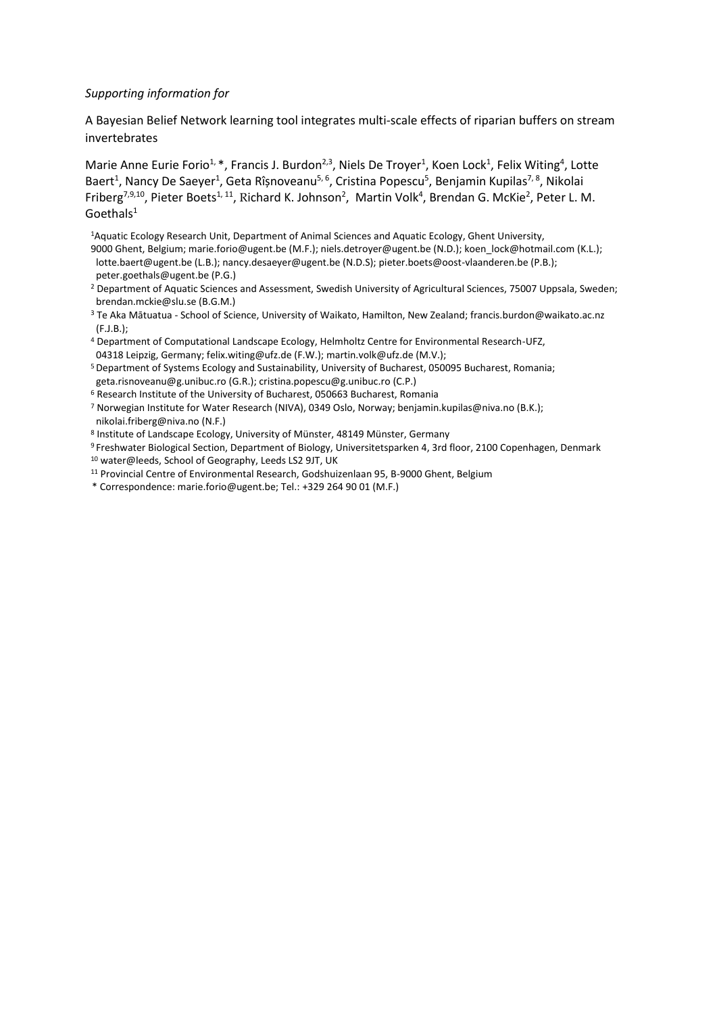## *Supporting information for*

A Bayesian Belief Network learning tool integrates multi-scale effects of riparian buffers on stream invertebrates

Marie Anne Eurie Forio<sup>1, \*</sup>, Francis J. Burdon<sup>2,3</sup>, Niels De Troyer<sup>1</sup>, Koen Lock<sup>1</sup>, Felix Witing<sup>4</sup>, Lotte Baert<sup>1</sup>, Nancy De Saeyer<sup>1</sup>, Geta Rîșnoveanu<sup>5, 6</sup>, Cristina Popescu<sup>5</sup>, Benjamin Kupilas<sup>7, 8</sup>, Nikolai Friberg<sup>7,9,10</sup>, Pieter Boets<sup>1, 11</sup>, Richard K. Johnson<sup>2</sup>, Martin Volk<sup>4</sup>, Brendan G. McKie<sup>2</sup>, Peter L. M.  $Goethals<sup>1</sup>$ 

<sup>1</sup>Aquatic Ecology Research Unit, Department of Animal Sciences and Aquatic Ecology, Ghent University, 9000 Ghent, Belgium; marie.forio@ugent.be (M.F.); niels.detroyer@ugent.be (N.D.); koen lock@hotmail.com (K.L.); lotte.baert@ugent.be (L.B.); nancy.desaeyer@ugent.be (N.D.S); pieter.boets@oost-vlaanderen.be (P.B.); peter.goethals@ugent.be (P.G.)

- <sup>2</sup> Department of Aquatic Sciences and Assessment, Swedish University of Agricultural Sciences, 75007 Uppsala, Sweden; brendan.mckie@slu.se (B.G.M.)
- <sup>3</sup> Te Aka Mātuatua School of Science, University of Waikato, Hamilton, New Zealand; francis.burdon@waikato.ac.nz (F.J.B.);
- <sup>4</sup> Department of Computational Landscape Ecology, Helmholtz Centre for Environmental Research-UFZ, 04318 Leipzig, Germany; felix.witing@ufz.de (F.W.); martin.volk@ufz.de (M.V.);

<sup>5</sup> Department of Systems Ecology and Sustainability, University of Bucharest, 050095 Bucharest, Romania; geta.risnoveanu@g.unibuc.ro (G.R.); cristina.popescu@g.unibuc.ro (C.P.)

<sup>6</sup> Research Institute of the University of Bucharest, 050663 Bucharest, Romania

<sup>7</sup> Norwegian Institute for Water Research (NIVA), 0349 Oslo, Norway; benjamin.kupilas@niva.no (B.K.); nikolai.friberg@niva.no (N.F.)

8 Institute of Landscape Ecology, University of Münster, 48149 Münster, Germany

<sup>9</sup> Freshwater Biological Section, Department of Biology, Universitetsparken 4, 3rd floor, 2100 Copenhagen, Denmark <sup>10</sup> water@leeds, School of Geography, Leeds LS2 9JT, UK

- <sup>11</sup> Provincial Centre of Environmental Research, Godshuizenlaan 95, B-9000 Ghent, Belgium
- \* Correspondence: marie.forio@ugent.be; Tel.: +3[29 264 90 01](tel:09%20264%2090%2001) (M.F.)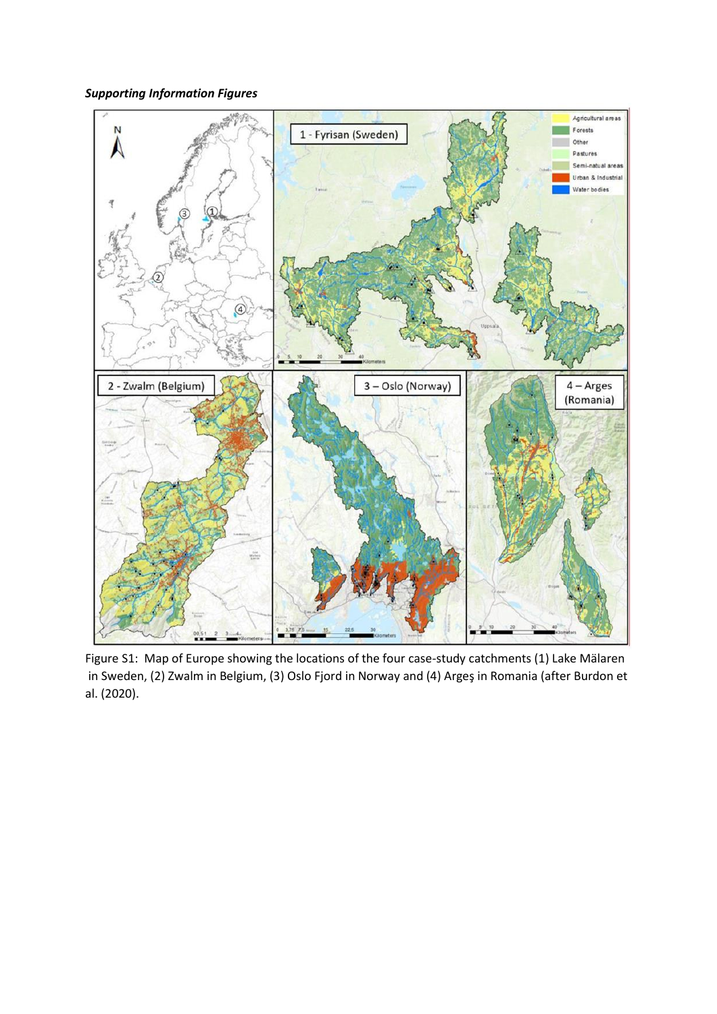*Supporting Information Figures*



Figure S1: Map of Europe showing the locations of the four case-study catchments (1) Lake Mälaren in Sweden, (2) Zwalm in Belgium, (3) Oslo Fjord in Norway and (4) Argeş in Romania (after Burdon et al. (2020).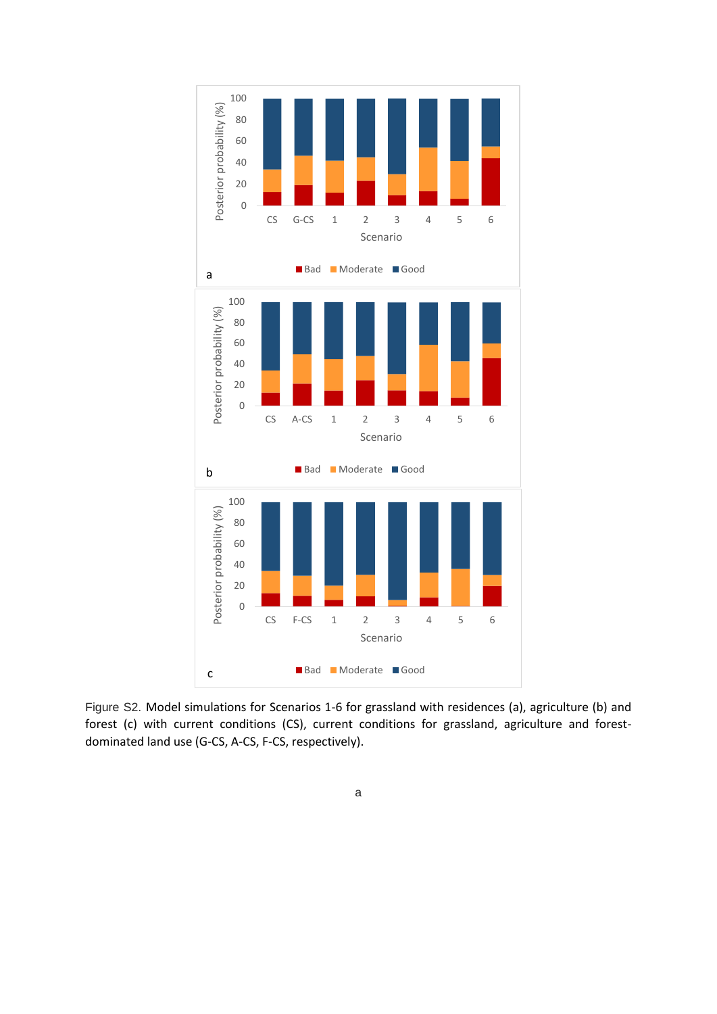

Figure S2. Model simulations for Scenarios 1-6 for grassland with residences (a), agriculture (b) and forest (c) with current conditions (CS), current conditions for grassland, agriculture and forestdominated land use (G-CS, A-CS, F-CS, respectively).

## a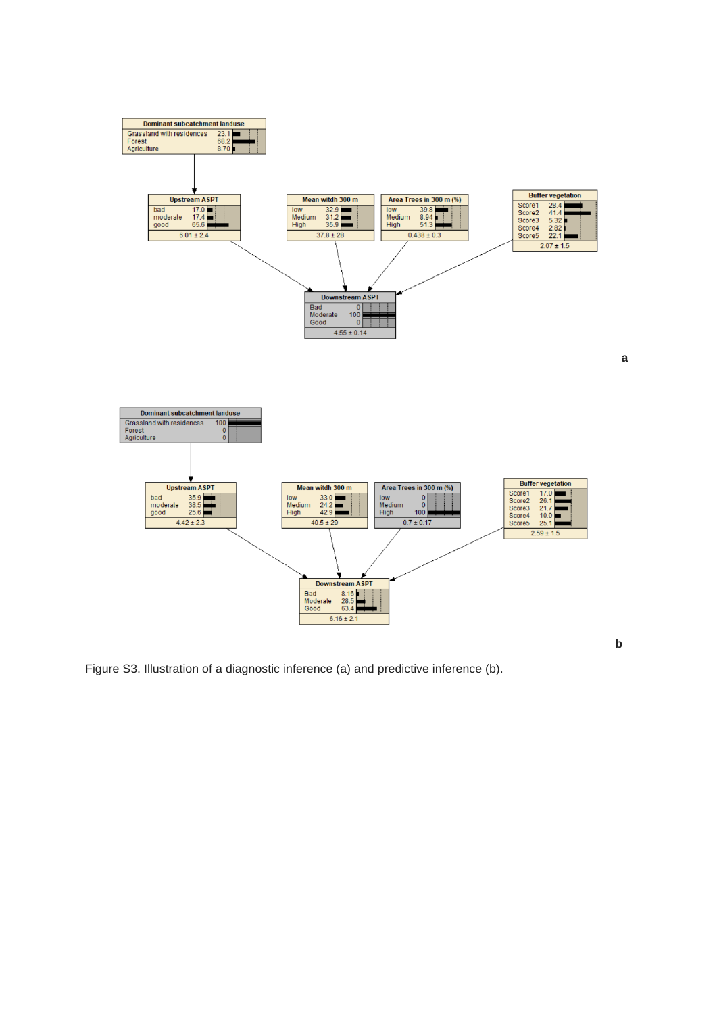

Figure S3. Illustration of a diagnostic inference (a) and predictive inference (b).

**b**

**a**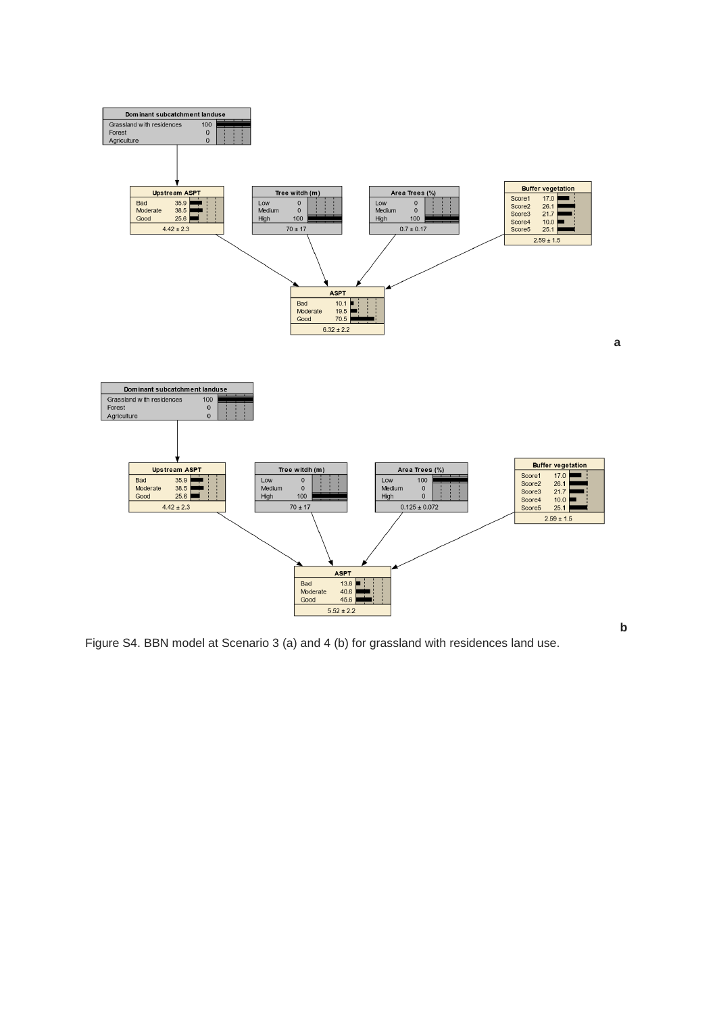

Figure S4. BBN model at Scenario 3 (a) and 4 (b) for grassland with residences land use.